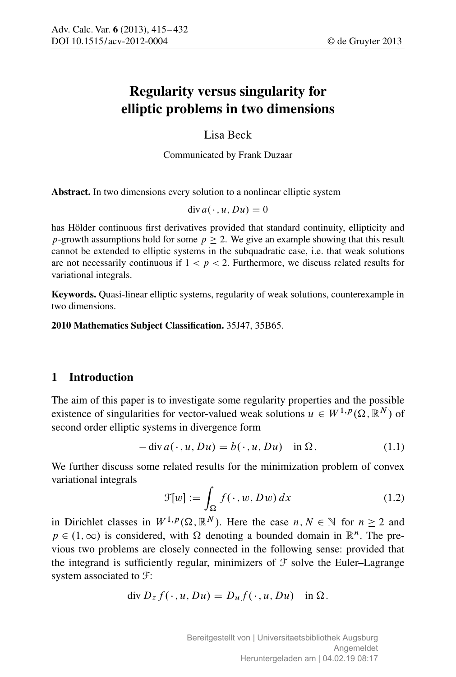# Regularity versus singularity for elliptic problems in two dimensions

Lisa Beck

Communicated by Frank Duzaar

Abstract. In two dimensions every solution to a nonlinear elliptic system

$$
\operatorname{div} a(\cdot, u, Du) = 0
$$

has Hölder continuous first derivatives provided that standard continuity, ellipticity and p-growth assumptions hold for some  $p > 2$ . We give an example showing that this result cannot be extended to elliptic systems in the subquadratic case, i.e. that weak solutions are not necessarily continuous if  $1 < p < 2$ . Furthermore, we discuss related results for variational integrals.

Keywords. Quasi-linear elliptic systems, regularity of weak solutions, counterexample in two dimensions.

2010 Mathematics Subject Classification. 35J47, 35B65.

# 1 Introduction

The aim of this paper is to investigate some regularity properties and the possible existence of singularities for vector-valued weak solutions  $u \in W^{1,p}(\Omega, \mathbb{R}^N)$  of second order elliptic systems in divergence form

$$
- \operatorname{div} a(\cdot, u, Du) = b(\cdot, u, Du) \quad \text{in } \Omega. \tag{1.1}
$$

We further discuss some related results for the minimization problem of convex variational integrals

$$
\mathcal{F}[w] := \int_{\Omega} f(\cdot, w, Dw) \, dx \tag{1.2}
$$

in Dirichlet classes in  $W^{1,p}(\Omega,\mathbb{R}^N)$ . Here the case  $n, N \in \mathbb{N}$  for  $n \geq 2$  and  $p \in (1,\infty)$  is considered, with  $\Omega$  denoting a bounded domain in  $\mathbb{R}^n$ . The previous two problems are closely connected in the following sense: provided that the integrand is sufficiently regular, minimizers of  $\mathcal F$  solve the Euler–Lagrange system associated to F:

$$
\operatorname{div} D_z f(\cdot, u, Du) = D_u f(\cdot, u, Du) \quad \text{in } \Omega.
$$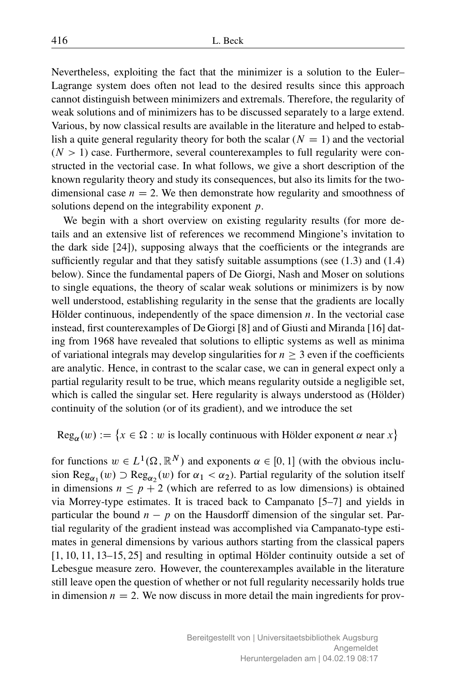Nevertheless, exploiting the fact that the minimizer is a solution to the Euler– Lagrange system does often not lead to the desired results since this approach cannot distinguish between minimizers and extremals. Therefore, the regularity of weak solutions and of minimizers has to be discussed separately to a large extend. Various, by now classical results are available in the literature and helped to establish a quite general regularity theory for both the scalar  $(N = 1)$  and the vectorial  $(N > 1)$  case. Furthermore, several counterexamples to full regularity were constructed in the vectorial case. In what follows, we give a short description of the known regularity theory and study its consequences, but also its limits for the twodimensional case  $n = 2$ . We then demonstrate how regularity and smoothness of solutions depend on the integrability exponent p.

We begin with a short overview on existing regularity results (for more details and an extensive list of references we recommend Mingione's invitation to the dark side [24]), supposing always that the coefficients or the integrands are sufficiently regular and that they satisfy suitable assumptions (see  $(1.3)$ ) and  $(1.4)$ below). Since the fundamental papers of De Giorgi, Nash and Moser on solutions to single equations, the theory of scalar weak solutions or minimizers is by now well understood, establishing regularity in the sense that the gradients are locally Hölder continuous, independently of the space dimension  $n$ . In the vectorial case instead, first counterexamples of De Giorgi [8] and of Giusti and Miranda [16] dating from 1968 have revealed that solutions to elliptic systems as well as minima of variational integrals may develop singularities for  $n > 3$  even if the coefficients are analytic. Hence, in contrast to the scalar case, we can in general expect only a partial regularity result to be true, which means regularity outside a negligible set, which is called the singular set. Here regularity is always understood as (Hölder) continuity of the solution (or of its gradient), and we introduce the set

 $Reg_{\alpha}(w) := \{x \in \Omega : w \text{ is locally continuous with Hölder exponent } \alpha \text{ near } x\}$ 

for functions  $w \in L^1(\Omega, \mathbb{R}^N)$  and exponents  $\alpha \in [0, 1]$  (with the obvious inclusion Reg<sub> $\alpha_1$ </sub> (w)  $\supset$  Reg<sub> $\alpha_2$ </sub> (w) for  $\alpha_1 < \alpha_2$ ). Partial regularity of the solution itself in dimensions  $n \leq p + 2$  (which are referred to as low dimensions) is obtained via Morrey-type estimates. It is traced back to Campanato [5–7] and yields in particular the bound  $n - p$  on the Hausdorff dimension of the singular set. Partial regularity of the gradient instead was accomplished via Campanato-type estimates in general dimensions by various authors starting from the classical papers [1, 10, 11, 13–15, 25] and resulting in optimal Hölder continuity outside a set of Lebesgue measure zero. However, the counterexamples available in the literature still leave open the question of whether or not full regularity necessarily holds true in dimension  $n = 2$ . We now discuss in more detail the main ingredients for prov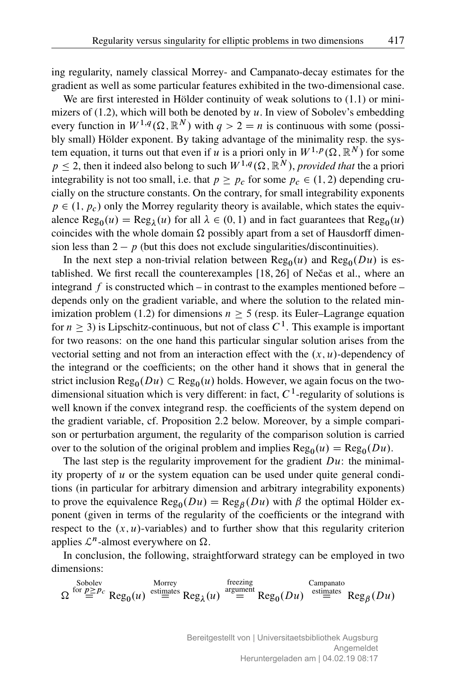ing regularity, namely classical Morrey- and Campanato-decay estimates for the gradient as well as some particular features exhibited in the two-dimensional case.

We are first interested in Hölder continuity of weak solutions to (1.1) or minimizers of (1.2), which will both be denoted by  $u$ . In view of Sobolev's embedding every function in  $W^{1,q}(\Omega,\mathbb{R}^N)$  with  $q > 2 = n$  is continuous with some (possibly small) Hölder exponent. By taking advantage of the minimality resp. the system equation, it turns out that even if u is a priori only in  $W^{1,p}(\Omega,\mathbb{R}^N)$  for some  $p \le 2$ , then it indeed also belong to such  $W^{1,q}(\Omega, \mathbb{R}^N)$ , *provided that* the a priori integrability is not too small, i.e. that  $p \ge p_c$  for some  $p_c \in (1, 2)$  depending crucially on the structure constants. On the contrary, for small integrability exponents  $p \in (1, p_c)$  only the Morrey regularity theory is available, which states the equivalence  $\text{Reg}_0(u) = \text{Reg}_\lambda(u)$  for all  $\lambda \in (0, 1)$  and in fact guarantees that  $\text{Reg}_0(u)$ coincides with the whole domain  $\Omega$  possibly apart from a set of Hausdorff dimension less than  $2 - p$  (but this does not exclude singularities/discontinuities).

In the next step a non-trivial relation between  $\text{Reg}_0(u)$  and  $\text{Reg}_0(Du)$  is established. We first recall the counterexamples  $[18, 26]$  of Nečas et al., where an integrand f is constructed which – in contrast to the examples mentioned before – depends only on the gradient variable, and where the solution to the related minimization problem (1.2) for dimensions  $n > 5$  (resp. its Euler–Lagrange equation for  $n \geq 3$ ) is Lipschitz-continuous, but not of class  $C^1$ . This example is important for two reasons: on the one hand this particular singular solution arises from the vectorial setting and not from an interaction effect with the  $(x, u)$ -dependency of the integrand or the coefficients; on the other hand it shows that in general the strict inclusion  $\text{Reg}_{0}(Du) \subset \text{Reg}_{0}(u)$  holds. However, we again focus on the twodimensional situation which is very different: in fact,  $C<sup>1</sup>$ -regularity of solutions is well known if the convex integrand resp. the coefficients of the system depend on the gradient variable, cf. Proposition 2.2 below. Moreover, by a simple comparison or perturbation argument, the regularity of the comparison solution is carried over to the solution of the original problem and implies  $\text{Reg}_{0}(u) = \text{Reg}_{0}(Du)$ .

The last step is the regularity improvement for the gradient  $Du$ : the minimality property of  $u$  or the system equation can be used under quite general conditions (in particular for arbitrary dimension and arbitrary integrability exponents) to prove the equivalence  $\text{Reg}_{0}(Du) = \text{Reg}_{\beta}(Du)$  with  $\beta$  the optimal Hölder exponent (given in terms of the regularity of the coefficients or the integrand with respect to the  $(x, u)$ -variables) and to further show that this regularity criterion applies  $\mathcal{L}^n$ -almost everywhere on  $\Omega$ .

In conclusion, the following, straightforward strategy can be employed in two dimensions:

Sobolev  
\n
$$
\Omega \stackrel{\text{Sobolev}}{=} \text{Reg}_{0}(u) \stackrel{\text{extimates}}{=} \text{Reg}_{\lambda}(u) \stackrel{\text{frequency}}{=} \text{Reg}_{0}(Du) \stackrel{\text{Campanabolo}}{=} \text{Reg}_{\beta}(Du)
$$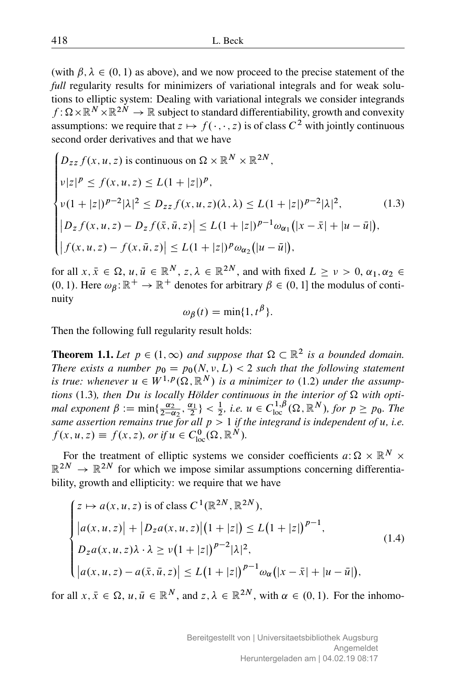(with  $\beta$ ,  $\lambda \in (0, 1)$  as above), and we now proceed to the precise statement of the *full* regularity results for minimizers of variational integrals and for weak solutions to elliptic system: Dealing with variational integrals we consider integrands  $f : \Omega \times \mathbb{R}^N \times \mathbb{R}^{2N} \to \mathbb{R}$  subject to standard differentiability, growth and convexity assumptions: we require that  $z \mapsto f(\cdot, \cdot, z)$  is of class  $C^2$  with jointly continuous second order derivatives and that we have

$$
\begin{cases}\nD_{zz} f(x, u, z) \text{ is continuous on } \Omega \times \mathbb{R}^N \times \mathbb{R}^{2N}, \\
\nu |z|^p \le f(x, u, z) \le L(1 + |z|)^p, \\
\nu (1 + |z|)^{p-2} |\lambda|^2 \le D_{zz} f(x, u, z) (\lambda, \lambda) \le L(1 + |z|)^{p-2} |\lambda|^2, \\
|D_z f(x, u, z) - D_z f(\bar{x}, \bar{u}, z)| \le L(1 + |z|)^{p-1} \omega_{\alpha_1} (|x - \bar{x}| + |u - \bar{u}|), \\
|f(x, u, z) - f(x, \bar{u}, z)| \le L(1 + |z|)^p \omega_{\alpha_2} (|u - \bar{u}|),\n\end{cases} (1.3)
$$

for all  $x, \bar{x} \in \Omega$ ,  $u, \bar{u} \in \mathbb{R}^N$ ,  $z, \lambda \in \mathbb{R}^{2N}$ , and with fixed  $L \ge v > 0$ ,  $\alpha_1, \alpha_2 \in$  $(0, 1)$ . Here  $\omega_{\beta} : \mathbb{R}^+ \to \mathbb{R}^+$  denotes for arbitrary  $\beta \in (0, 1]$  the modulus of continuity

$$
\omega_{\beta}(t) = \min\{1, t^{\beta}\}.
$$

Then the following full regularity result holds:

**Theorem 1.1.** Let  $p \in (1, \infty)$  and suppose that  $\Omega \subset \mathbb{R}^2$  is a bounded domain. *There exists a number*  $p_0 = p_0(N, v, L) < 2$  *such that the following statement is true: whenever*  $u \in W^{1,p}(\Omega, \mathbb{R}^N)$  *is a minimizer to* (1.2) *under the assumptions* (1.3)*, then Du is locally Hölder continuous in the interior of*  $\Omega$  with opti*mal exponent*  $\beta := \min\{\frac{\alpha_2}{2-\alpha_2}, \frac{\alpha_1}{2}\} < \frac{1}{2}$ *, i.e.*  $u \in C_{loc}^{1,\beta}(\Omega, \mathbb{R}^N)$ *, for*  $p \ge p_0$ *. The same assertion remains true for all*  $p > 1$  *if the integrand is independent of u, i.e.*  $f(x, u, z) \equiv f(x, z)$ , or if  $u \in C_{\text{loc}}^{0}(\Omega, \mathbb{R}^{N})$ .

For the treatment of elliptic systems we consider coefficients  $a: \Omega \times \mathbb{R}^N \times$  $\mathbb{R}^{2N} \to \mathbb{R}^{2N}$  for which we impose similar assumptions concerning differentiability, growth and ellipticity: we require that we have

$$
\begin{cases}\nz \mapsto a(x, u, z) \text{ is of class } C^1(\mathbb{R}^{2N}, \mathbb{R}^{2N}), \\
|a(x, u, z)| + |D_z a(x, u, z)| (1 + |z|) \le L(1 + |z|)^{p-1}, \\
D_z a(x, u, z) \lambda \cdot \lambda \ge \nu (1 + |z|)^{p-2} |\lambda|^2, \\
|a(x, u, z) - a(\bar{x}, \bar{u}, z)| \le L(1 + |z|)^{p-1} \omega_\alpha(|x - \bar{x}| + |u - \bar{u}|),\n\end{cases} (1.4)
$$

for all  $x, \bar{x} \in \Omega$ ,  $u, \bar{u} \in \mathbb{R}^N$ , and  $z, \lambda \in \mathbb{R}^{2N}$ , with  $\alpha \in (0, 1)$ . For the inhomo-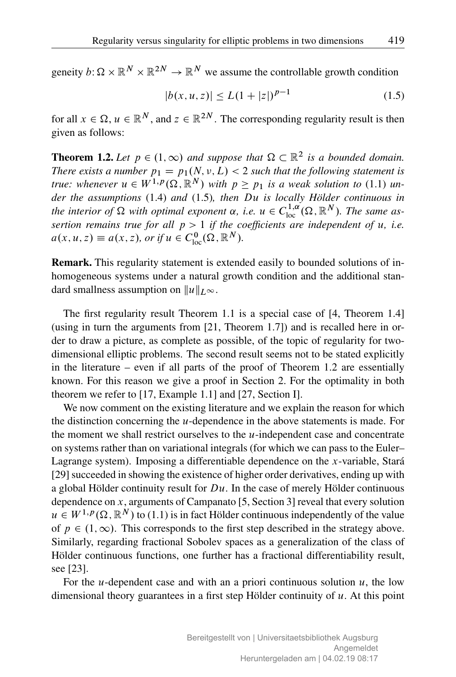geneity  $b: \Omega \times \mathbb{R}^N \times \mathbb{R}^{2N} \to \mathbb{R}^N$  we assume the controllable growth condition

$$
|b(x, u, z)| \le L(1 + |z|)^{p-1}
$$
\n(1.5)

for all  $x \in \Omega$ ,  $u \in \mathbb{R}^N$ , and  $z \in \mathbb{R}^{2N}$ . The corresponding regularity result is then given as follows:

**Theorem 1.2.** Let  $p \in (1, \infty)$  and suppose that  $\Omega \subset \mathbb{R}^2$  is a bounded domain. *There exists a number*  $p_1 = p_1(N, v, L) < 2$  *such that the following statement is true: whenever*  $u \in W^{1,p}(\Omega, \mathbb{R}^N)$  *with*  $p \geq p_1$  *is a weak solution to* (1.1) *under the assumptions* (1.4) *and* (1.5)*, then* Du *is locally Hölder continuous in* the interior of  $\Omega$  with optimal exponent  $\alpha$ , i.e.  $u \in C^{1,\alpha}_{loc}(\Omega,\mathbb{R}^N)$ . The same as*sertion remains true for all*  $p > 1$  *if the coefficients are independent of u, i.e.*  $a(x, u, z) \equiv a(x, z)$ , or if  $u \in C_{\text{loc}}^{0}(\Omega, \mathbb{R}^{N})$ .

Remark. This regularity statement is extended easily to bounded solutions of inhomogeneous systems under a natural growth condition and the additional standard smallness assumption on  $||u||_{L^{\infty}}$ .

The first regularity result Theorem 1.1 is a special case of [4, Theorem 1.4] (using in turn the arguments from [21, Theorem 1.7]) and is recalled here in order to draw a picture, as complete as possible, of the topic of regularity for twodimensional elliptic problems. The second result seems not to be stated explicitly in the literature – even if all parts of the proof of Theorem 1.2 are essentially known. For this reason we give a proof in Section 2. For the optimality in both theorem we refer to [17, Example 1.1] and [27, Section I].

We now comment on the existing literature and we explain the reason for which the distinction concerning the  $u$ -dependence in the above statements is made. For the moment we shall restrict ourselves to the  $u$ -independent case and concentrate on systems rather than on variational integrals (for which we can pass to the Euler– Lagrange system). Imposing a differentiable dependence on the x-variable, Stará [29] succeeded in showing the existence of higher order derivatives, ending up with a global Hölder continuity result for  $Du$ . In the case of merely Hölder continuous dependence on  $x$ , arguments of Campanato [5, Section 3] reveal that every solution  $u \in W^{1,p}(\Omega,\mathbb{R}^N)$  to (1.1) is in fact Hölder continuous independently of the value of  $p \in (1,\infty)$ . This corresponds to the first step described in the strategy above. Similarly, regarding fractional Sobolev spaces as a generalization of the class of Hölder continuous functions, one further has a fractional differentiability result, see [23].

For the *u*-dependent case and with an a priori continuous solution  $u$ , the low dimensional theory guarantees in a first step Hölder continuity of  $u$ . At this point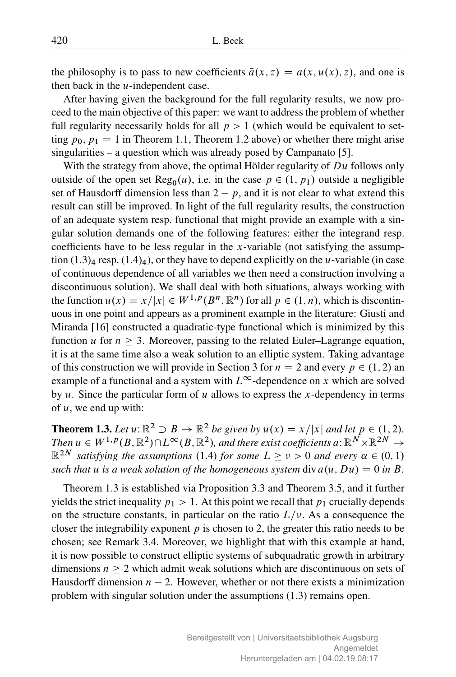the philosophy is to pass to new coefficients  $\tilde{a}(x, z) = a(x, u(x), z)$ , and one is then back in the  $u$ -independent case.

After having given the background for the full regularity results, we now proceed to the main objective of this paper: we want to address the problem of whether full regularity necessarily holds for all  $p > 1$  (which would be equivalent to setting  $p_0$ ,  $p_1 = 1$  in Theorem 1.1, Theorem 1.2 above) or whether there might arise singularities – a question which was already posed by Campanato [5].

With the strategy from above, the optimal Hölder regularity of  $Du$  follows only outside of the open set  $\text{Reg}_0(u)$ , i.e. in the case  $p \in (1, p_1)$  outside a negligible set of Hausdorff dimension less than  $2 - p$ , and it is not clear to what extend this result can still be improved. In light of the full regularity results, the construction of an adequate system resp. functional that might provide an example with a singular solution demands one of the following features: either the integrand resp. coefficients have to be less regular in the x-variable (not satisfying the assumption  $(1.3)<sub>4</sub>$  resp.  $(1.4)<sub>4</sub>$ ), or they have to depend explicitly on the *u*-variable (in case of continuous dependence of all variables we then need a construction involving a discontinuous solution). We shall deal with both situations, always working with the function  $u(x) = x/|x| \in W^{1,p}(B^n, \mathbb{R}^n)$  for all  $p \in (1, n)$ , which is discontinuous in one point and appears as a prominent example in the literature: Giusti and Miranda [16] constructed a quadratic-type functional which is minimized by this function u for  $n \geq 3$ . Moreover, passing to the related Euler–Lagrange equation, it is at the same time also a weak solution to an elliptic system. Taking advantage of this construction we will provide in Section 3 for  $n = 2$  and every  $p \in (1, 2)$  and example of a functional and a system with  $L^{\infty}$ -dependence on x which are solved by  $u$ . Since the particular form of  $u$  allows to express the  $x$ -dependency in terms of  $u$ , we end up with:

**Theorem 1.3.** Let  $u: \mathbb{R}^2 \supset B \to \mathbb{R}^2$  be given by  $u(x) = x/|x|$  and let  $p \in (1, 2)$ . Then  $u \in W^{1,p}(B,\mathbb{R}^2) \cap L^\infty(B,\mathbb{R}^2),$  and there exist coefficients a:  $\mathbb{R}^N \times \mathbb{R}^{2N} \to$  $\mathbb{R}^{2N}$  *satisfying the assumptions* (1.4) *for some*  $L \geq \nu > 0$  *and every*  $\alpha \in (0,1)$ *such that* u *is a weak solution of the homogeneous system* div  $a(u, Du) = 0$  *in* B.

Theorem 1.3 is established via Proposition 3.3 and Theorem 3.5, and it further yields the strict inequality  $p_1 > 1$ . At this point we recall that  $p_1$  crucially depends on the structure constants, in particular on the ratio  $L/\nu$ . As a consequence the closer the integrability exponent  $p$  is chosen to 2, the greater this ratio needs to be chosen; see Remark 3.4. Moreover, we highlight that with this example at hand, it is now possible to construct elliptic systems of subquadratic growth in arbitrary dimensions  $n > 2$  which admit weak solutions which are discontinuous on sets of Hausdorff dimension  $n - 2$ . However, whether or not there exists a minimization problem with singular solution under the assumptions (1.3) remains open.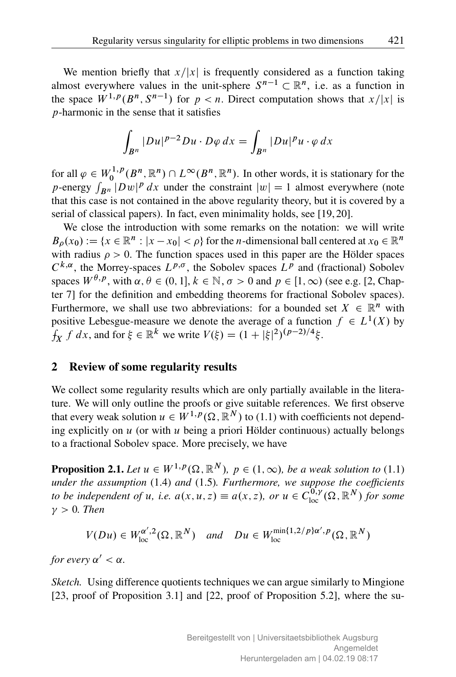We mention briefly that  $x/|x|$  is frequently considered as a function taking almost everywhere values in the unit-sphere  $S^{n-1} \subset \mathbb{R}^n$ , i.e. as a function in the space  $W^{1,p}(B^n, S^{n-1})$  for  $p < n$ . Direct computation shows that  $x/|x|$  is p-harmonic in the sense that it satisfies

$$
\int_{B^n} |Du|^{p-2}Du \cdot D\varphi \, dx = \int_{B^n} |Du|^p u \cdot \varphi \, dx
$$

for all  $\varphi \in W_0^{1,p}$  $U_0^{1,p}(B^n,\mathbb{R}^n) \cap L^\infty(B^n,\mathbb{R}^n)$ . In other words, it is stationary for the p-energy  $\int_{\mathbf{B}^n} |Dw|^p dx$  under the constraint  $|w| = 1$  almost everywhere (note that this case is not contained in the above regularity theory, but it is covered by a serial of classical papers). In fact, even minimality holds, see [19, 20].

We close the introduction with some remarks on the notation: we will write  $B_{\rho}(x_0) := \{x \in \mathbb{R}^n : |x - x_0| < \rho\}$  for the *n*-dimensional ball centered at  $x_0 \in \mathbb{R}^n$ with radius  $\rho > 0$ . The function spaces used in this paper are the Hölder spaces  $C^{k,\alpha}$ , the Morrey-spaces  $L^{p,\sigma}$ , the Sobolev spaces  $L^p$  and (fractional) Sobolev spaces  $W^{\theta,p}$ , with  $\alpha, \theta \in (0, 1], k \in \mathbb{N}, \sigma > 0$  and  $p \in [1, \infty)$  (see e.g. [2, Chapter 7] for the definition and embedding theorems for fractional Sobolev spaces). Furthermore, we shall use two abbreviations: for a bounded set  $X \in \mathbb{R}^n$  with positive Lebesgue-measure we denote the average of a function  $f \in L^1(X)$  by  $\oint_X f \, dx$ , and for  $\xi \in \mathbb{R}^k$  we write  $V(\xi) = (1 + |\xi|^2)^{(p-2)/4} \xi$ .

# 2 Review of some regularity results

We collect some regularity results which are only partially available in the literature. We will only outline the proofs or give suitable references. We first observe that every weak solution  $u \in W^{1,p}(\Omega,\mathbb{R}^N)$  to (1.1) with coefficients not depending explicitly on  $u$  (or with  $u$  being a priori Hölder continuous) actually belongs to a fractional Sobolev space. More precisely, we have

**Proposition 2.1.** *Let*  $u \in W^{1,p}(\Omega, \mathbb{R}^N)$ *,*  $p \in (1,\infty)$ *, be a weak solution to* (1.1) *under the assumption* (1.4) *and* (1.5)*. Furthermore, we suppose the coefficients to be independent of u, i.e.*  $a(x, u, z) \equiv a(x, z)$ , or  $u \in C_{loc}^{0, \gamma}(\Omega, \mathbb{R}^N)$  for some  $\nu > 0$ . Then

$$
V(Du) \in W_{\text{loc}}^{\alpha',2}(\Omega,\mathbb{R}^N) \quad \text{and} \quad Du \in W_{\text{loc}}^{\min\{1,2/p\}\alpha',p}(\Omega,\mathbb{R}^N)
$$

*for every*  $\alpha' < \alpha$ .

*Sketch.* Using difference quotients techniques we can argue similarly to Mingione [23, proof of Proposition 3.1] and [22, proof of Proposition 5.2], where the su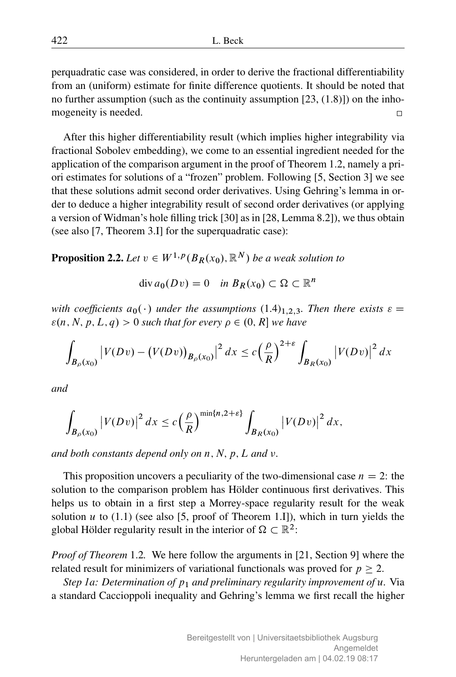perquadratic case was considered, in order to derive the fractional differentiability from an (uniform) estimate for finite difference quotients. It should be noted that no further assumption (such as the continuity assumption [23, (1.8)]) on the inhomogeneity is needed.  $\Box$ 

After this higher differentiability result (which implies higher integrability via fractional Sobolev embedding), we come to an essential ingredient needed for the application of the comparison argument in the proof of Theorem 1.2, namely a priori estimates for solutions of a "frozen" problem. Following [5, Section 3] we see that these solutions admit second order derivatives. Using Gehring's lemma in order to deduce a higher integrability result of second order derivatives (or applying a version of Widman's hole filling trick [30] as in [28, Lemma 8.2]), we thus obtain (see also [7, Theorem 3.I] for the superquadratic case):

**Proposition 2.2.** Let  $v \in W^{1,p}(B_R(x_0), \mathbb{R}^N)$  be a weak solution to

$$
\operatorname{div} a_0(Dv) = 0 \quad \text{in } B_R(x_0) \subset \Omega \subset \mathbb{R}^n
$$

*with coefficients*  $a_0(\cdot)$  *under the assumptions* (1.4)<sub>1,2,3</sub>*. Then there exists*  $\varepsilon =$  $\varepsilon(n, N, p, L, q) > 0$  such that for every  $\rho \in (0, R]$  we have

$$
\int_{B_{\rho}(x_0)} \left| V(Dv) - \left( V(Dv) \right)_{B_{\rho}(x_0)} \right|^2 dx \le c \left( \frac{\rho}{R} \right)^{2+\varepsilon} \int_{B_R(x_0)} \left| V(Dv) \right|^2 dx
$$

*and*

$$
\int_{B_{\rho}(x_0)}\left|V(Dv)\right|^2dx\leq c\left(\frac{\rho}{R}\right)^{\min\{n,2+\varepsilon\}}\int_{B_R(x_0)}\left|V(Dv)\right|^2dx,
$$

*and both constants depend only on n, N, p, L and v.* 

This proposition uncovers a peculiarity of the two-dimensional case  $n = 2$ : the solution to the comparison problem has Hölder continuous first derivatives. This helps us to obtain in a first step a Morrey-space regularity result for the weak solution u to  $(1.1)$  (see also [5, proof of Theorem 1.I]), which in turn yields the global Hölder regularity result in the interior of  $\Omega \subset \mathbb{R}^2$ :

*Proof of Theorem* 1.2*.* We here follow the arguments in [21, Section 9] where the related result for minimizers of variational functionals was proved for  $p > 2$ .

*Step 1a: Determination of p<sub>1</sub> and preliminary regularity improvement of u. Via* a standard Caccioppoli inequality and Gehring's lemma we first recall the higher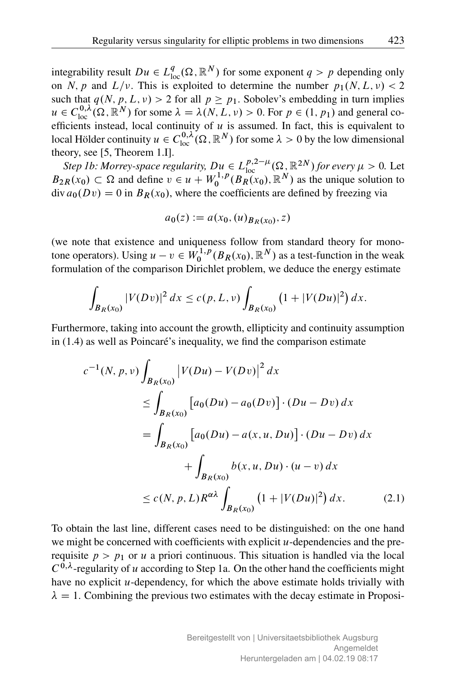integrability result  $Du \in L^q_{loc}(\Omega, \mathbb{R}^N)$  for some exponent  $q > p$  depending only on N, p and  $L/\nu$ . This is exploited to determine the number  $p_1(N, L, \nu) < 2$ such that  $q(N, p, L, v) > 2$  for all  $p \ge p_1$ . Sobolev's embedding in turn implies  $u \in C_{\text{loc}}^{0,\lambda}(\Omega,\mathbb{R}^N)$  for some  $\lambda = \lambda(N,L,v) > 0$ . For  $p \in (1, p_1)$  and general coefficients instead, local continuity of  $u$  is assumed. In fact, this is equivalent to local Hölder continuity  $u \in C^{0,\lambda}_{loc}(\Omega,\mathbb{R}^N)$  for some  $\lambda > 0$  by the low dimensional theory, see [5, Theorem 1.I].

*Step 1b: Morrey-space regularity,*  $Du \in L^{p,2-\mu}_{loc}(\Omega, \mathbb{R}^{2N})$  *for every*  $\mu > 0$ *. Let*  $B_{2R}(x_0) \subset \Omega$  and define  $v \in u + W_0^{1,p}$  $\int_0^1 P(B_R(x_0), \mathbb{R}^N)$  as the unique solution to  $\frac{\partial u}{\partial x}$  div  $a_0(Dv) = 0$  in  $B_R(x_0)$ , where the coefficients are defined by freezing via

$$
a_0(z) := a(x_0, (u)_{B_R(x_0)}, z)
$$

(we note that existence and uniqueness follow from standard theory for monotone operators). Using  $u - v \in W_0^{1,p}$  $\chi_0^{1,p}(B_R(x_0), \mathbb{R}^N)$  as a test-function in the weak formulation of the comparison Dirichlet problem, we deduce the energy estimate

$$
\int_{B_R(x_0)} |V(Dv)|^2 dx \le c(p, L, v) \int_{B_R(x_0)} (1 + |V(Du)|^2) dx.
$$

Furthermore, taking into account the growth, ellipticity and continuity assumption in (1.4) as well as Poincaré's inequality, we find the comparison estimate

$$
c^{-1}(N, p, v) \int_{B_R(x_0)} |V(Du) - V(Dv)|^2 dx
$$
  
\n
$$
\leq \int_{B_R(x_0)} [a_0(Du) - a_0(Dv)] \cdot (Du - Dv) dx
$$
  
\n
$$
= \int_{B_R(x_0)} [a_0(Du) - a(x, u, Du)] \cdot (Du - Dv) dx
$$
  
\n
$$
+ \int_{B_R(x_0)} b(x, u, Du) \cdot (u - v) dx
$$
  
\n
$$
\leq c(N, p, L) R^{\alpha \lambda} \int_{B_R(x_0)} (1 + |V(Du)|^2) dx.
$$
 (2.1)

To obtain the last line, different cases need to be distinguished: on the one hand we might be concerned with coefficients with explicit  $u$ -dependencies and the prerequisite  $p > p_1$  or u a priori continuous. This situation is handled via the local  $C^{0,\lambda}$ -regularity of u according to Step 1a. On the other hand the coefficients might have no explicit *u*-dependency, for which the above estimate holds trivially with  $\lambda = 1$ . Combining the previous two estimates with the decay estimate in Proposi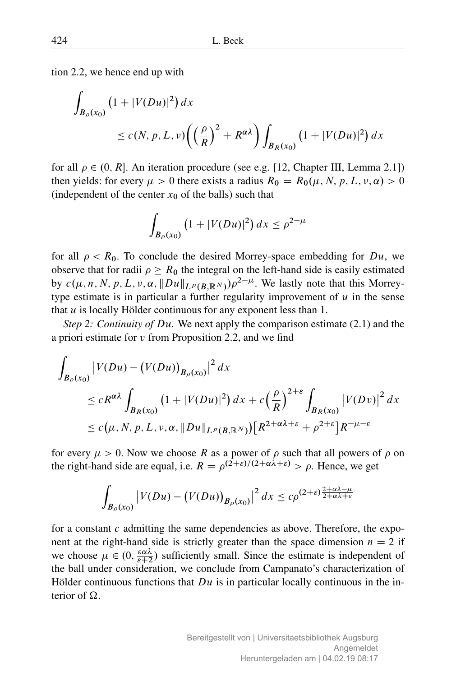tion 2.2, we hence end up with

$$
\int_{B_{\rho}(x_0)} (1+|V(Du)|^2) dx
$$
\n
$$
\leq c(N, p, L, v) \left( \left( \frac{\rho}{R} \right)^2 + R^{\alpha \lambda} \right) \int_{B_R(x_0)} (1+|V(Du)|^2) dx
$$

for all  $\rho \in (0, R]$ . An iteration procedure (see e.g. [12, Chapter III, Lemma 2.1]) then yields: for every  $\mu > 0$  there exists a radius  $R_0 = R_0(\mu, N, p, L, v, \alpha) > 0$ (independent of the center  $x_0$  of the balls) such that

$$
\int_{B_{\rho}(x_0)} (1+|V(Du)|^2) \, dx \le \rho^{2-\mu}
$$

for all  $\rho < R_0$ . To conclude the desired Morrey-space embedding for Du, we observe that for radii  $\rho \ge R_0$  the integral on the left-hand side is easily estimated by  $c(\mu, n, N, p, L, v, \alpha, ||Du||_{L^p(B, \mathbb{R}^N)})\rho^{2-\mu}$ . We lastly note that this Morreytype estimate is in particular a further regularity improvement of  $u$  in the sense that  $u$  is locally Hölder continuous for any exponent less than 1.

*Step 2: Continuity of* Du*.* We next apply the comparison estimate (2.1) and the a priori estimate for v from Proposition 2.2, and we find

$$
\int_{B_{\rho}(x_0)} |V(Du) - (V(Du))_{B_{\rho}(x_0)}|^2 dx
$$
\n
$$
\leq c R^{\alpha\lambda} \int_{B_R(x_0)} (1 + |V(Du)|^2) dx + c \left(\frac{\rho}{R}\right)^{2+\varepsilon} \int_{B_R(x_0)} |V(Dv)|^2 dx
$$
\n
$$
\leq c(\mu, N, p, L, v, \alpha, \|Du\|_{L^p(B, \mathbb{R}^N)}) [R^{2+\alpha\lambda+\varepsilon} + \rho^{2+\varepsilon}] R^{-\mu-\varepsilon}
$$

for every  $\mu > 0$ . Now we choose R as a power of  $\rho$  such that all powers of  $\rho$  on the right-hand side are equal, i.e.  $R = \rho^{(2+\varepsilon)/(2+\alpha\lambda+\varepsilon)} > \rho$ . Hence, we get

$$
\int_{B_{\rho}(x_0)} \left| V(Du) - \left( V(Du) \right)_{B_{\rho}(x_0)} \right|^2 dx \leq c\rho^{(2+\varepsilon)\frac{2+\alpha\lambda-\mu}{2+\alpha\lambda+\varepsilon}}
$$

for a constant c admitting the same dependencies as above. Therefore, the exponent at the right-hand side is strictly greater than the space dimension  $n = 2$  if we choose  $\mu \in (0, \frac{\varepsilon \alpha \lambda}{\varepsilon + 2})$  sufficiently small. Since the estimate is independent of the ball under consideration, we conclude from Campanato's characterization of Hölder continuous functions that  $Du$  is in particular locally continuous in the interior of  $\Omega$ .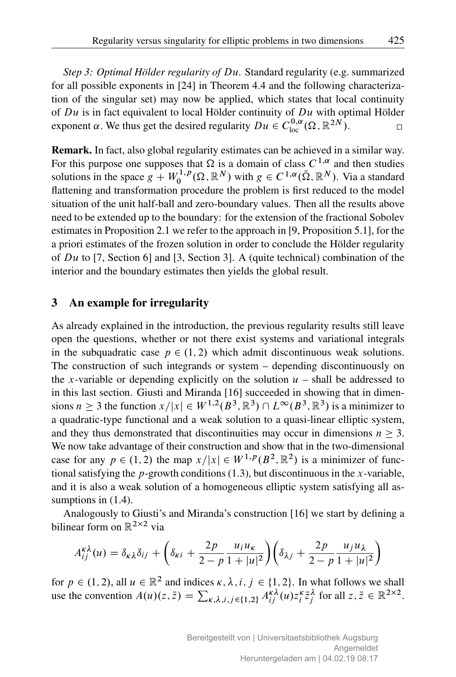*Step 3: Optimal Hölder regularity of* Du*.* Standard regularity (e.g. summarized for all possible exponents in [24] in Theorem 4.4 and the following characterization of the singular set) may now be applied, which states that local continuity of  $Du$  is in fact equivalent to local Hölder continuity of  $Du$  with optimal Hölder exponent  $\alpha$ . We thus get the desired regularity  $Du \in C^{0,\alpha}_{loc}(\Omega,\mathbb{R}^{2N})$ .  $\Box$ 

Remark. In fact, also global regularity estimates can be achieved in a similar way. For this purpose one supposes that  $\Omega$  is a domain of class  $C^{1,\alpha}$  and then studies solutions in the space  $g + W_0^{1,p}$  $\chi_0^{1,p}(\Omega,\mathbb{R}^N)$  with  $g\in C^{1,\alpha}(\bar{\Omega},\mathbb{R}^N)$ . Via a standard flattening and transformation procedure the problem is first reduced to the model situation of the unit half-ball and zero-boundary values. Then all the results above need to be extended up to the boundary: for the extension of the fractional Sobolev estimates in Proposition 2.1 we refer to the approach in [9, Proposition 5.1], for the a priori estimates of the frozen solution in order to conclude the Hölder regularity of  $Du$  to [7, Section 6] and [3, Section 3]. A (quite technical) combination of the interior and the boundary estimates then yields the global result.

### 3 An example for irregularity

As already explained in the introduction, the previous regularity results still leave open the questions, whether or not there exist systems and variational integrals in the subquadratic case  $p \in (1, 2)$  which admit discontinuous weak solutions. The construction of such integrands or system – depending discontinuously on the x-variable or depending explicitly on the solution  $u$  – shall be addressed to in this last section. Giusti and Miranda [16] succeeded in showing that in dimensions  $n \geq 3$  the function  $x/|x| \in W^{1,2}(B^3, \mathbb{R}^3) \cap L^{\infty}(B^3, \mathbb{R}^3)$  is a minimizer to a quadratic-type functional and a weak solution to a quasi-linear elliptic system, and they thus demonstrated that discontinuities may occur in dimensions  $n \geq 3$ . We now take advantage of their construction and show that in the two-dimensional case for any  $p \in (1, 2)$  the map  $x/|x| \in W^{1,p}(B^2, \mathbb{R}^2)$  is a minimizer of functional satisfying the *p*-growth conditions  $(1.3)$ , but discontinuous in the *x*-variable, and it is also a weak solution of a homogeneous elliptic system satisfying all assumptions in  $(1.4)$ .

Analogously to Giusti's and Miranda's construction [16] we start by defining a bilinear form on  $\mathbb{R}^{2\times 2}$  via

$$
A_{ij}^{\kappa\lambda}(u) = \delta_{\kappa\lambda}\delta_{ij} + \left(\delta_{\kappa i} + \frac{2p}{2-p}\frac{u_i u_{\kappa}}{1+|u|^2}\right)\left(\delta_{\lambda j} + \frac{2p}{2-p}\frac{u_j u_{\lambda}}{1+|u|^2}\right)
$$

for  $p \in (1, 2)$ , all  $u \in \mathbb{R}^2$  and indices  $\kappa, \lambda, i, j \in \{1, 2\}$ . In what follows we shall use the convention  $A(u)(z, \bar{z}) = \sum_{\kappa, \lambda, i, j \in \{1,2\}} A_{ij}^{\kappa \lambda}(u) z_i^{\kappa} \bar{z}_j^{\lambda}$  for all  $z, \bar{z} \in \mathbb{R}^{2 \times 2}$ .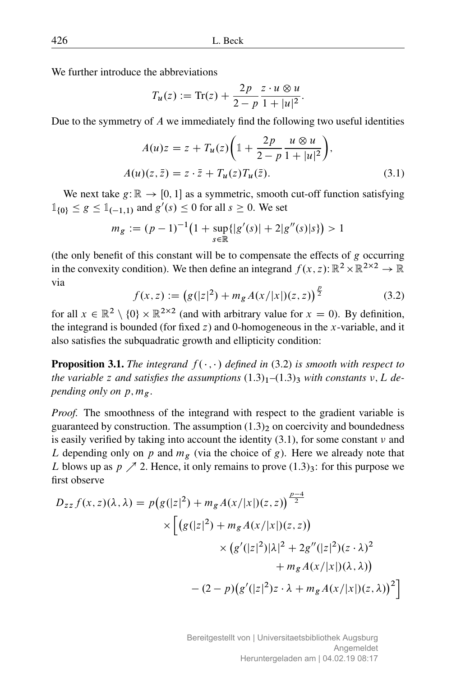We further introduce the abbreviations

$$
T_u(z) := \text{Tr}(z) + \frac{2p}{2-p} \frac{z \cdot u \otimes u}{1 + |u|^2}.
$$

Due to the symmetry of  $\vec{A}$  we immediately find the following two useful identities

$$
A(u)z = z + T_u(z)\left(1 + \frac{2p}{2 - p}\frac{u \otimes u}{1 + |u|^2}\right),
$$
  
\n
$$
A(u)(z, \bar{z}) = z \cdot \bar{z} + T_u(z)T_u(\bar{z}).
$$
\n(3.1)

We next take  $g:\mathbb{R} \to [0, 1]$  as a symmetric, smooth cut-off function satisfying  $\mathbb{1}_{\{0\}} \leq g \leq \mathbb{1}_{(-1,1)}$  and  $g'(s) \leq 0$  for all  $s \geq 0$ . We set

$$
m_g := (p-1)^{-1} \big( 1 + \sup_{s \in \mathbb{R}} \{ |g'(s)| + 2|g''(s)|s \} \big) > 1
$$

(the only benefit of this constant will be to compensate the effects of  $g$  occurring in the convexity condition). We then define an integrand  $f(x, z)$ :  $\mathbb{R}^2 \times \mathbb{R}^{2 \times 2} \to \mathbb{R}$ via

$$
f(x, z) := (g(|z|^2) + m_g A(x/|x|)(z, z))^{\frac{p}{2}}
$$
(3.2)

for all  $x \in \mathbb{R}^2 \setminus \{0\} \times \mathbb{R}^{2 \times 2}$  (and with arbitrary value for  $x = 0$ ). By definition, the integrand is bounded (for fixed  $z$ ) and 0-homogeneous in the x-variable, and it also satisfies the subquadratic growth and ellipticity condition:

**Proposition 3.1.** *The integrand*  $f(\cdot, \cdot)$  *defined in* (3.2) *is smooth with respect to the variable* z and satisfies the assumptions  $(1.3)_1$ – $(1.3)_3$  with constants  $v, L$  de*pending only on*  $p, m_g$ .

*Proof.* The smoothness of the integrand with respect to the gradient variable is guaranteed by construction. The assumption  $(1.3)$ <sub>2</sub> on coercivity and boundedness is easily verified by taking into account the identity  $(3.1)$ , for some constant  $\nu$  and L depending only on p and  $m<sub>g</sub>$  (via the choice of g). Here we already note that L blows up as  $p \nearrow 2$ . Hence, it only remains to prove  $(1.3)_{3}$ : for this purpose we first observe

$$
D_{zz} f(x, z)(\lambda, \lambda) = p(g(|z|^2) + m_g A(x/|x|)(z, z))^{\frac{p-4}{2}} \times \left[ (g(|z|^2) + m_g A(x/|x|)(z, z)) \times (g'(|z|^2)|\lambda|^2 + 2g''(|z|^2)(z \cdot \lambda)^2 + m_g A(x/|x|)(\lambda, \lambda)) \right] - (2-p)(g'(|z|^2)z \cdot \lambda + m_g A(x/|x|)(z, \lambda))^2 \right]
$$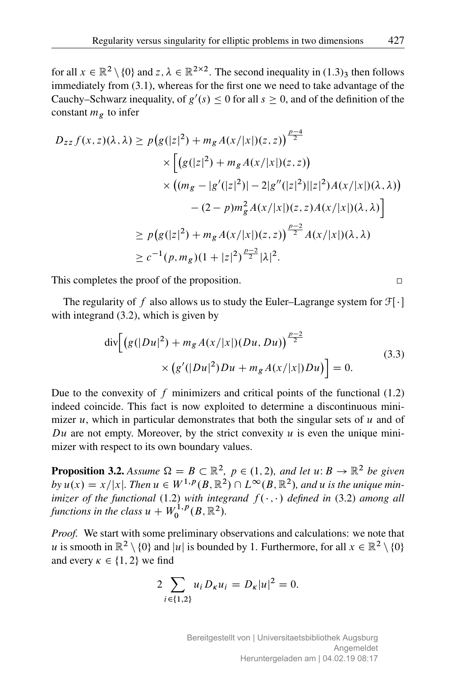for all  $x \in \mathbb{R}^2 \setminus \{0\}$  and  $z, \lambda \in \mathbb{R}^{2 \times 2}$ . The second inequality in  $(1.3)$ <sub>3</sub> then follows immediately from (3.1), whereas for the first one we need to take advantage of the Cauchy–Schwarz inequality, of  $g'(s) \leq 0$  for all  $s \geq 0$ , and of the definition of the constant  $m<sub>g</sub>$  to infer

$$
D_{zz} f(x, z)(\lambda, \lambda) \ge p(g(|z|^2) + m_g A(x/|x|)(z, z))
$$
  
\n
$$
\times \left[ (g(|z|^2) + m_g A(x/|x|)(z, z)) \times ((m_g - |g'(|z|^2) - 2|g''(|z|^2)||z|^2)A(x/|x|)(\lambda, \lambda)) - (2 - p)m_g^2 A(x/|x|)(z, z)A(x/|x|)(\lambda, \lambda) \right]
$$
  
\n
$$
\ge p(g(|z|^2) + m_g A(x/|x|)(z, z)) \frac{p-2}{2} A(x/|x|)(\lambda, \lambda)
$$
  
\n
$$
\ge c^{-1}(p, m_g)(1 + |z|^2) \frac{p-2}{2} |\lambda|^2.
$$

This completes the proof of the proposition.

The regularity of f also allows us to study the Euler–Lagrange system for  $\mathcal{F}[\cdot]$ with integrand  $(3.2)$ , which is given by

$$
\text{div}\Big[\Big(g(|Du|^2) + m_g A(x/|x|)(Du, Du)\Big)^{\frac{p-2}{2}}\times \Big(g'(|Du|^2)Du + m_g A(x/|x|)Du\Big)\Big] = 0.
$$
\n(3.3)

Due to the convexity of  $f$  minimizers and critical points of the functional  $(1.2)$ indeed coincide. This fact is now exploited to determine a discontinuous minimizer u, which in particular demonstrates that both the singular sets of u and of Du are not empty. Moreover, by the strict convexity u is even the unique minimizer with respect to its own boundary values.

**Proposition 3.2.** Assume  $\Omega = B \subset \mathbb{R}^2$ ,  $p \in (1, 2)$ , and let  $u: B \to \mathbb{R}^2$  be given  $by u(x) = x/|x|$ . Then  $u \in W^{1,p}(B, \mathbb{R}^2) \cap L^{\infty}(B, \mathbb{R}^2)$ , and u is the unique min*imizer of the functional* (1.2) *with integrand*  $f(\cdot, \cdot)$  *defined in* (3.2) *among all functions in the class*  $u + W_0^{1,p}$  $\binom{1,p}{0}$   $(B, \mathbb{R}^2)$ .

*Proof.* We start with some preliminary observations and calculations: we note that u is smooth in  $\mathbb{R}^2 \setminus \{0\}$  and  $|u|$  is bounded by 1. Furthermore, for all  $x \in \mathbb{R}^2 \setminus \{0\}$ and every  $\kappa \in \{1, 2\}$  we find

$$
2\sum_{i\in\{1,2\}}u_i D_{\kappa} u_i = D_{\kappa}|u|^2 = 0.
$$

 $\Box$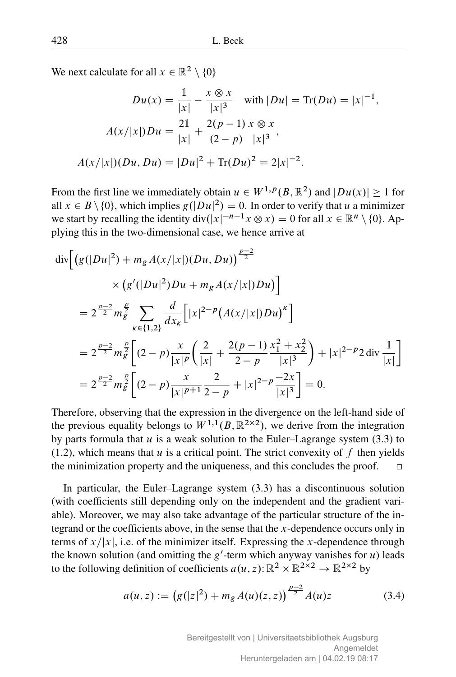We next calculate for all  $x \in \mathbb{R}^2 \setminus \{0\}$ 

$$
Du(x) = \frac{1}{|x|} - \frac{x \otimes x}{|x|^3} \quad \text{with } |Du| = \text{Tr}(Du) = |x|^{-1},
$$

$$
A(x/|x|)Du = \frac{21}{|x|} + \frac{2(p-1)}{(2-p)} \frac{x \otimes x}{|x|^3},
$$

$$
A(x/|x|)(Du, Du) = |Du|^2 + \text{Tr}(Du)^2 = 2|x|^{-2}.
$$

From the first line we immediately obtain  $u \in W^{1,p}(B,\mathbb{R}^2)$  and  $|Du(x)| \ge 1$  for all  $x \in B \setminus \{0\}$ , which implies  $g(|Du|^2) = 0$ . In order to verify that u a minimizer we start by recalling the identity  $div(|x|^{-n-1}x \otimes x) = 0$  for all  $x \in \mathbb{R}^n \setminus \{0\}$ . Applying this in the two-dimensional case, we hence arrive at

$$
\begin{split} \operatorname{div} & \left[ \left( g(|Du|^2) + m_g A(x/|x|) (Du, Du) \right)^{\frac{p-2}{2}} \right. \\ & \qquad \qquad \times \left( g'(|Du|^2) Du + m_g A(x/|x|) Du \right) \right] \\ & = 2^{\frac{p-2}{2}} m_g^{\frac{p}{2}} \sum_{\kappa \in \{1,2\}} \frac{d}{dx_\kappa} \left[ |x|^{2-p} \left( A(x/|x|) Du \right)^{\kappa} \right] \\ & = 2^{\frac{p-2}{2}} m_g^{\frac{p}{2}} \left[ (2-p) \frac{x}{|x|^p} \left( \frac{2}{|x|} + \frac{2(p-1)}{2-p} \frac{x_1^2 + x_2^2}{|x|^3} \right) + |x|^{2-p} 2 \operatorname{div} \frac{1}{|x|} \right] \\ & = 2^{\frac{p-2}{2}} m_g^{\frac{p}{2}} \left[ (2-p) \frac{x}{|x|^{p+1}} \frac{2}{2-p} + |x|^{2-p} \frac{-2x}{|x|^3} \right] = 0. \end{split}
$$

Therefore, observing that the expression in the divergence on the left-hand side of the previous equality belongs to  $W^{1,1}(B, \mathbb{R}^{2\times 2})$ , we derive from the integration by parts formula that  $u$  is a weak solution to the Euler–Lagrange system (3.3) to  $(1.2)$ , which means that u is a critical point. The strict convexity of f then yields the minimization property and the uniqueness, and this concludes the proof.  $\Box$ 

In particular, the Euler–Lagrange system (3.3) has a discontinuous solution (with coefficients still depending only on the independent and the gradient variable). Moreover, we may also take advantage of the particular structure of the integrand or the coefficients above, in the sense that the  $x$ -dependence occurs only in terms of  $x/|x|$ , i.e. of the minimizer itself. Expressing the x-dependence through the known solution (and omitting the  $g'$ -term which anyway vanishes for u) leads to the following definition of coefficients  $a(u, z)$ :  $\mathbb{R}^2 \times \mathbb{R}^{2 \times 2} \to \mathbb{R}^{2 \times 2}$  by

$$
a(u, z) := (g(|z|^2) + m_g A(u)(z, z))^{\frac{p-2}{2}} A(u)z
$$
 (3.4)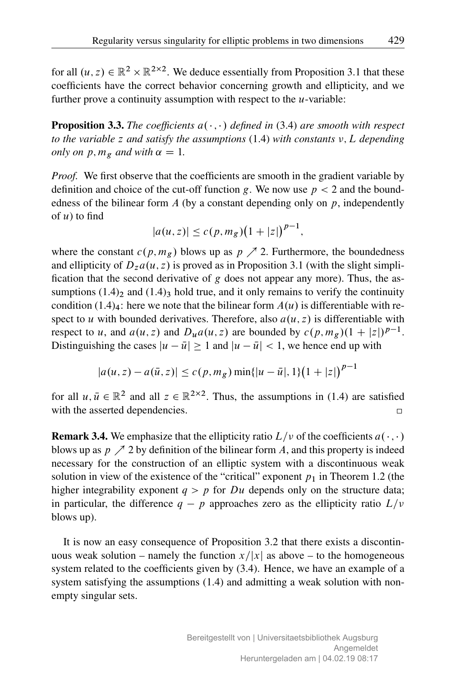for all  $(u, z) \in \mathbb{R}^2 \times \mathbb{R}^{2 \times 2}$ . We deduce essentially from Proposition 3.1 that these coefficients have the correct behavior concerning growth and ellipticity, and we further prove a continuity assumption with respect to the  $u$ -variable:

**Proposition 3.3.** The coefficients  $a(\cdot, \cdot)$  defined in (3.4) are smooth with respect *to the variable z and satisfy the assumptions*  $(1.4)$  *with constants*  $\nu$ , L *depending only on*  $p, m_g$  *and with*  $\alpha = 1$ *.* 

*Proof.* We first observe that the coefficients are smooth in the gradient variable by definition and choice of the cut-off function g. We now use  $p < 2$  and the boundedness of the bilinear form  $A$  (by a constant depending only on  $p$ , independently of  $u$ ) to find

$$
|a(u, z)| \le c(p, m_g)(1 + |z|)^{p-1},
$$

where the constant  $c(p, m_g)$  blows up as  $p \nearrow 2$ . Furthermore, the boundedness and ellipticity of  $D_z a(u, z)$  is proved as in Proposition 3.1 (with the slight simplification that the second derivative of g does not appear any more). Thus, the assumptions  $(1.4)$ <sub>2</sub> and  $(1.4)$ <sub>3</sub> hold true, and it only remains to verify the continuity condition  $(1.4)<sub>4</sub>$ : here we note that the bilinear form  $A(u)$  is differentiable with respect to u with bounded derivatives. Therefore, also  $a(u, z)$  is differentiable with respect to u, and  $a(u, z)$  and  $D_u a(u, z)$  are bounded by  $c(p, m_g)(1 + |z|)^{p-1}$ . Distinguishing the cases  $|u - \bar{u}| > 1$  and  $|u - \bar{u}| < 1$ , we hence end up with

$$
|a(u, z) - a(\bar{u}, z)| \le c(p, m_g) \min\{|u - \bar{u}|, 1\} (1 + |z|)^{p-1}
$$

for all  $u, \bar{u} \in \mathbb{R}^2$  and all  $z \in \mathbb{R}^{2 \times 2}$ . Thus, the assumptions in (1.4) are satisfied with the asserted dependencies.  $\Box$ 

**Remark 3.4.** We emphasize that the ellipticity ratio  $L/v$  of the coefficients  $a(\cdot, \cdot)$ blows up as  $p \nearrow 2$  by definition of the bilinear form A, and this property is indeed necessary for the construction of an elliptic system with a discontinuous weak solution in view of the existence of the "critical" exponent  $p_1$  in Theorem 1.2 (the higher integrability exponent  $q > p$  for Du depends only on the structure data; in particular, the difference  $q - p$  approaches zero as the ellipticity ratio  $L/\nu$ blows up).

It is now an easy consequence of Proposition 3.2 that there exists a discontinuous weak solution – namely the function  $x/|x|$  as above – to the homogeneous system related to the coefficients given by  $(3.4)$ . Hence, we have an example of a system satisfying the assumptions (1.4) and admitting a weak solution with nonempty singular sets.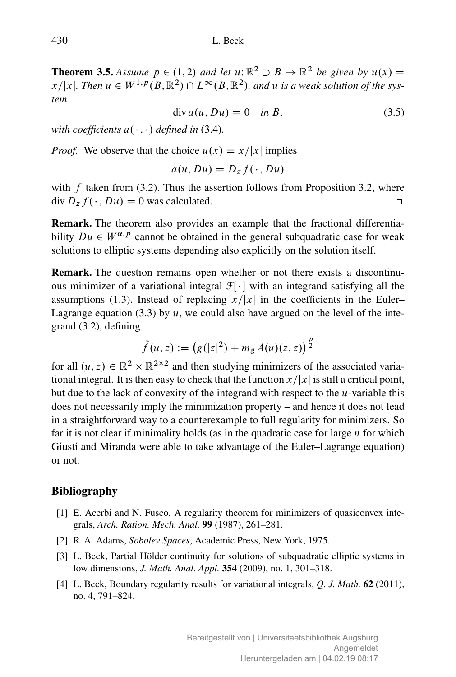**Theorem 3.5.** Assume  $p \in (1, 2)$  and let  $u: \mathbb{R}^2 \supset B \to \mathbb{R}^2$  be given by  $u(x) =$  $x/|x|$ . Then  $u \in W^{1,p}(B,\mathbb{R}^2) \cap L^{\infty}(B,\mathbb{R}^2)$ , and u is a weak solution of the sys*tem*

$$
\operatorname{div} a(u, Du) = 0 \quad \text{in } B,\tag{3.5}
$$

*with coefficients*  $a(\cdot, \cdot)$  *defined in* (3.4)*.* 

*Proof.* We observe that the choice  $u(x) = x/|x|$  implies

$$
a(u, Du) = D_z f(\cdot, Du)
$$

with  $f$  taken from (3.2). Thus the assertion follows from Proposition 3.2, where div  $D_z f(\cdot, Du) = 0$  was calculated.  $\Box$ 

Remark. The theorem also provides an example that the fractional differentiability  $Du \in W^{\alpha,p}$  cannot be obtained in the general subquadratic case for weak solutions to elliptic systems depending also explicitly on the solution itself.

Remark. The question remains open whether or not there exists a discontinuous minimizer of a variational integral  $\mathcal{F}[\cdot]$  with an integrand satisfying all the assumptions (1.3). Instead of replacing  $x/|x|$  in the coefficients in the Euler– Lagrange equation (3.3) by  $u$ , we could also have argued on the level of the integrand (3.2), defining

$$
\tilde{f}(u,z):=\left(g(|z|^2)+m_g\,A(u)(z,z)\right)^{\frac{p}{2}}
$$

for all  $(u, z) \in \mathbb{R}^2 \times \mathbb{R}^{2 \times 2}$  and then studying minimizers of the associated variational integral. It is then easy to check that the function  $x/|x|$  is still a critical point, but due to the lack of convexity of the integrand with respect to the  $u$ -variable this does not necessarily imply the minimization property – and hence it does not lead in a straightforward way to a counterexample to full regularity for minimizers. So far it is not clear if minimality holds (as in the quadratic case for large  $n$  for which Giusti and Miranda were able to take advantage of the Euler–Lagrange equation) or not.

#### Bibliography

- [1] E. Acerbi and N. Fusco, A regularity theorem for minimizers of quasiconvex integrals, *Arch. Ration. Mech. Anal.* 99 (1987), 261–281.
- [2] R. A. Adams, *Sobolev Spaces*, Academic Press, New York, 1975.
- [3] L. Beck, Partial Hölder continuity for solutions of subquadratic elliptic systems in low dimensions, *J. Math. Anal. Appl.* 354 (2009), no. 1, 301–318.
- [4] L. Beck, Boundary regularity results for variational integrals, *Q. J. Math.* 62 (2011), no. 4, 791–824.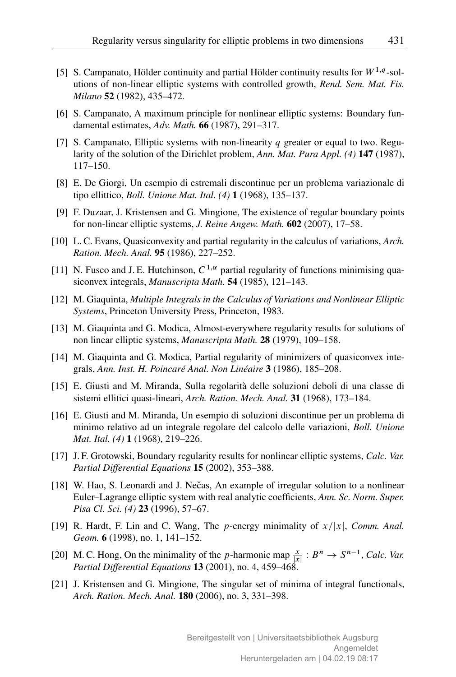- [5] S. Campanato, Hölder continuity and partial Hölder continuity results for  $W^{1,q}$ -solutions of non-linear elliptic systems with controlled growth, *Rend. Sem. Mat. Fis. Milano* 52 (1982), 435–472.
- [6] S. Campanato, A maximum principle for nonlinear elliptic systems: Boundary fundamental estimates, *Adv. Math.* 66 (1987), 291–317.
- [7] S. Campanato, Elliptic systems with non-linearity  $q$  greater or equal to two. Regularity of the solution of the Dirichlet problem, *Ann. Mat. Pura Appl. (4)* 147 (1987), 117–150.
- [8] E. De Giorgi, Un esempio di estremali discontinue per un problema variazionale di tipo ellittico, *Boll. Unione Mat. Ital. (4)* 1 (1968), 135–137.
- [9] F. Duzaar, J. Kristensen and G. Mingione, The existence of regular boundary points for non-linear elliptic systems, *J. Reine Angew. Math.* 602 (2007), 17–58.
- [10] L. C. Evans, Quasiconvexity and partial regularity in the calculus of variations, *Arch. Ration. Mech. Anal.* 95 (1986), 227–252.
- [11] N. Fusco and J.E. Hutchinson,  $C^{1,\alpha}$  partial regularity of functions minimising quasiconvex integrals, *Manuscripta Math.* 54 (1985), 121–143.
- [12] M. Giaquinta, *Multiple Integrals in the Calculus of Variations and Nonlinear Elliptic Systems*, Princeton University Press, Princeton, 1983.
- [13] M. Giaquinta and G. Modica, Almost-everywhere regularity results for solutions of non linear elliptic systems, *Manuscripta Math.* 28 (1979), 109–158.
- [14] M. Giaquinta and G. Modica, Partial regularity of minimizers of quasiconvex integrals, *Ann. Inst. H. Poincaré Anal. Non Linéaire* 3 (1986), 185–208.
- [15] E. Giusti and M. Miranda, Sulla regolarità delle soluzioni deboli di una classe di sistemi ellitici quasi-lineari, *Arch. Ration. Mech. Anal.* 31 (1968), 173–184.
- [16] E. Giusti and M. Miranda, Un esempio di soluzioni discontinue per un problema di minimo relativo ad un integrale regolare del calcolo delle variazioni, *Boll. Unione Mat. Ital. (4)* 1 (1968), 219–226.
- [17] J. F. Grotowski, Boundary regularity results for nonlinear elliptic systems, *Calc. Var. Partial Differential Equations* 15 (2002), 353–388.
- [18] W. Hao, S. Leonardi and J. Nečas, An example of irregular solution to a nonlinear Euler–Lagrange elliptic system with real analytic coefficients, *Ann. Sc. Norm. Super. Pisa Cl. Sci. (4)* 23 (1996), 57–67.
- [19] R. Hardt, F. Lin and C. Wang, The p-energy minimality of  $x/|x|$ , *Comm. Anal. Geom.* 6 (1998), no. 1, 141–152.
- [20] M. C. Hong, On the minimality of the p-harmonic map  $\frac{x}{|x|}: B^n \to S^{n-1}$ , *Calc. Var. Partial Differential Equations* 13 (2001), no. 4, 459–468.
- [21] J. Kristensen and G. Mingione, The singular set of minima of integral functionals, *Arch. Ration. Mech. Anal.* 180 (2006), no. 3, 331–398.